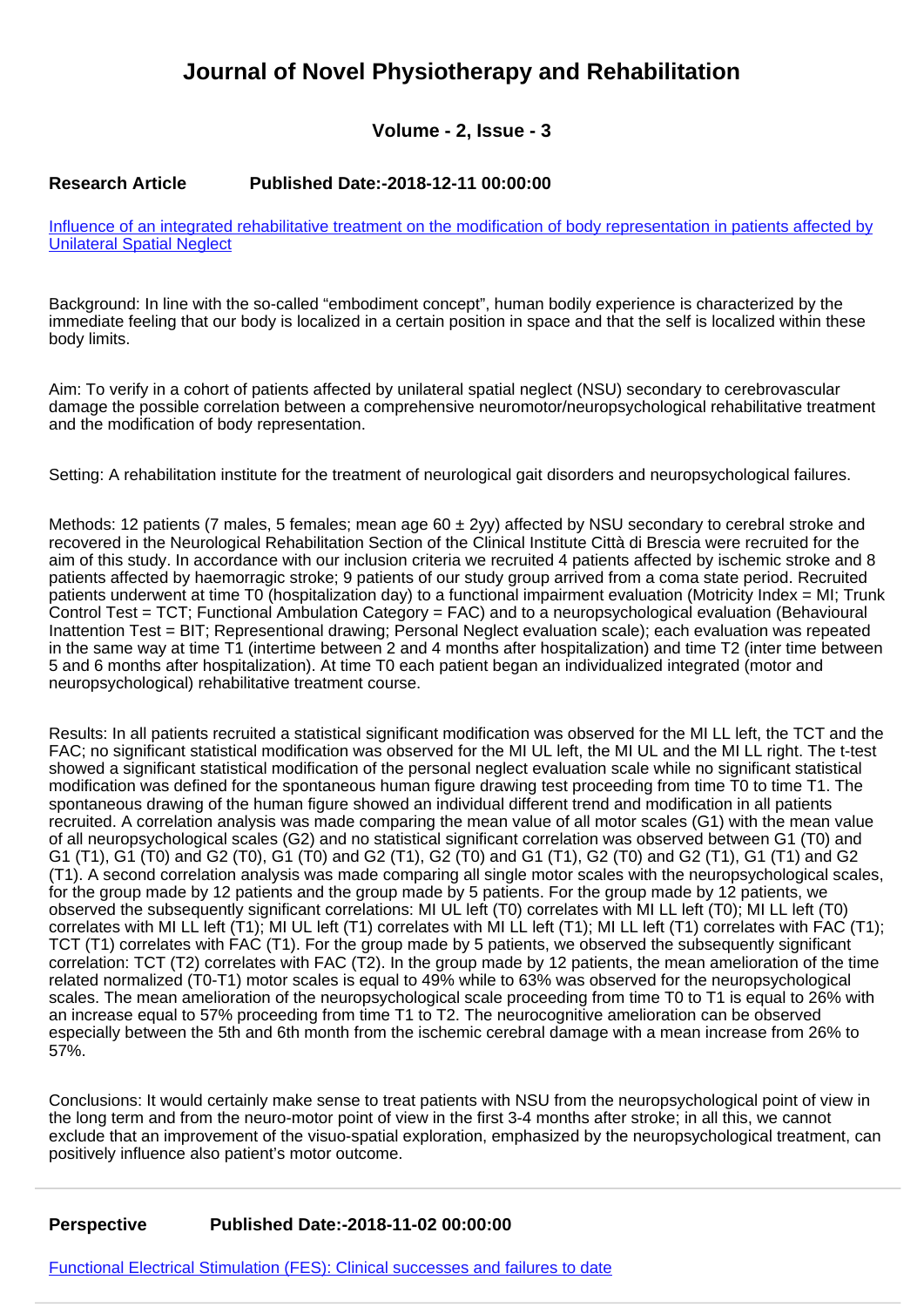## **Journal of Novel Physiotherapy and Rehabilitation**

## **Volume - 2, Issue - 3**

## **Research Article Published Date:-2018-12-11 00:00:00**

[Influence of an integrated rehabilitative treatment on the modification of body representation in patients affected by](https://www.rehabilityjournal.com/articles/jnpr-aid1023.pdf) [Unilateral Spatial Neglect](https://www.rehabilityjournal.com/articles/jnpr-aid1023.pdf)

Background: In line with the so-called "embodiment concept", human bodily experience is characterized by the immediate feeling that our body is localized in a certain position in space and that the self is localized within these body limits.

Aim: To verify in a cohort of patients affected by unilateral spatial neglect (NSU) secondary to cerebrovascular damage the possible correlation between a comprehensive neuromotor/neuropsychological rehabilitative treatment and the modification of body representation.

Setting: A rehabilitation institute for the treatment of neurological gait disorders and neuropsychological failures.

Methods: 12 patients (7 males, 5 females; mean age  $60 \pm 2$ yy) affected by NSU secondary to cerebral stroke and recovered in the Neurological Rehabilitation Section of the Clinical Institute Città di Brescia were recruited for the aim of this study. In accordance with our inclusion criteria we recruited 4 patients affected by ischemic stroke and 8 patients affected by haemorragic stroke; 9 patients of our study group arrived from a coma state period. Recruited patients underwent at time T0 (hospitalization day) to a functional impairment evaluation (Motricity Index = MI; Trunk Control Test = TCT; Functional Ambulation Category = FAC) and to a neuropsychological evaluation (Behavioural Inattention Test = BIT; Representional drawing; Personal Neglect evaluation scale); each evaluation was repeated in the same way at time T1 (intertime between 2 and 4 months after hospitalization) and time T2 (inter time between 5 and 6 months after hospitalization). At time T0 each patient began an individualized integrated (motor and neuropsychological) rehabilitative treatment course.

Results: In all patients recruited a statistical significant modification was observed for the MI LL left, the TCT and the FAC; no significant statistical modification was observed for the MI UL left, the MI UL and the MI LL right. The t-test showed a significant statistical modification of the personal neglect evaluation scale while no significant statistical modification was defined for the spontaneous human figure drawing test proceeding from time T0 to time T1. The spontaneous drawing of the human figure showed an individual different trend and modification in all patients recruited. A correlation analysis was made comparing the mean value of all motor scales (G1) with the mean value of all neuropsychological scales (G2) and no statistical significant correlation was observed between G1 (T0) and G1 (T1), G1 (T0) and G2 (T0), G1 (T0) and G2 (T1), G2 (T0) and G1 (T1), G2 (T0) and G2 (T1), G1 (T1) and G2 (T1). A second correlation analysis was made comparing all single motor scales with the neuropsychological scales, for the group made by 12 patients and the group made by 5 patients. For the group made by 12 patients, we observed the subsequently significant correlations: MI UL left (T0) correlates with MI LL left (T0); MI LL left (T0) correlates with MI LL left (T1); MI UL left (T1) correlates with MI LL left (T1); MI LL left (T1) correlates with FAC (T1); TCT (T1) correlates with FAC (T1). For the group made by 5 patients, we observed the subsequently significant correlation: TCT (T2) correlates with FAC (T2). In the group made by 12 patients, the mean amelioration of the time related normalized (T0-T1) motor scales is equal to 49% while to 63% was observed for the neuropsychological scales. The mean amelioration of the neuropsychological scale proceeding from time T0 to T1 is equal to 26% with an increase equal to 57% proceeding from time T1 to T2. The neurocognitive amelioration can be observed especially between the 5th and 6th month from the ischemic cerebral damage with a mean increase from 26% to 57%.

Conclusions: It would certainly make sense to treat patients with NSU from the neuropsychological point of view in the long term and from the neuro-motor point of view in the first 3-4 months after stroke; in all this, we cannot exclude that an improvement of the visuo-spatial exploration, emphasized by the neuropsychological treatment, can positively influence also patient's motor outcome.

## **Perspective Published Date:-2018-11-02 00:00:00**